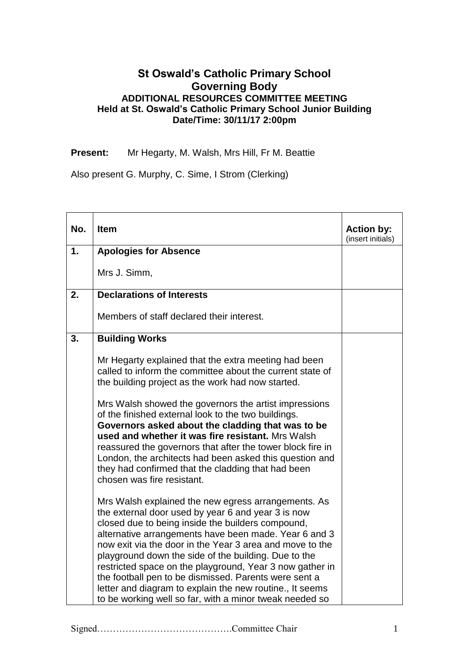## **St Oswald's Catholic Primary School Governing Body ADDITIONAL RESOURCES COMMITTEE MEETING Held at St. Oswald's Catholic Primary School Junior Building Date/Time: 30/11/17 2:00pm**

**Present:** Mr Hegarty, M. Walsh, Mrs Hill, Fr M. Beattie

Also present G. Murphy, C. Sime, I Strom (Clerking)

| No. | <b>Item</b>                                                                                                                                                                                                                                                                                                                                                                                                                                                                                                                                                                                                   | <b>Action by:</b><br>(insert initials) |
|-----|---------------------------------------------------------------------------------------------------------------------------------------------------------------------------------------------------------------------------------------------------------------------------------------------------------------------------------------------------------------------------------------------------------------------------------------------------------------------------------------------------------------------------------------------------------------------------------------------------------------|----------------------------------------|
| 1.  | <b>Apologies for Absence</b>                                                                                                                                                                                                                                                                                                                                                                                                                                                                                                                                                                                  |                                        |
|     | Mrs J. Simm,                                                                                                                                                                                                                                                                                                                                                                                                                                                                                                                                                                                                  |                                        |
| 2.  | <b>Declarations of Interests</b>                                                                                                                                                                                                                                                                                                                                                                                                                                                                                                                                                                              |                                        |
|     | Members of staff declared their interest.                                                                                                                                                                                                                                                                                                                                                                                                                                                                                                                                                                     |                                        |
| 3.  | <b>Building Works</b>                                                                                                                                                                                                                                                                                                                                                                                                                                                                                                                                                                                         |                                        |
|     | Mr Hegarty explained that the extra meeting had been<br>called to inform the committee about the current state of<br>the building project as the work had now started.<br>Mrs Walsh showed the governors the artist impressions<br>of the finished external look to the two buildings.<br>Governors asked about the cladding that was to be<br>used and whether it was fire resistant. Mrs Walsh<br>reassured the governors that after the tower block fire in<br>London, the architects had been asked this question and<br>they had confirmed that the cladding that had been<br>chosen was fire resistant. |                                        |
|     | Mrs Walsh explained the new egress arrangements. As<br>the external door used by year 6 and year 3 is now<br>closed due to being inside the builders compound,<br>alternative arrangements have been made. Year 6 and 3<br>now exit via the door in the Year 3 area and move to the<br>playground down the side of the building. Due to the<br>restricted space on the playground, Year 3 now gather in<br>the football pen to be dismissed. Parents were sent a<br>letter and diagram to explain the new routine., It seems<br>to be working well so far, with a minor tweak needed so                       |                                        |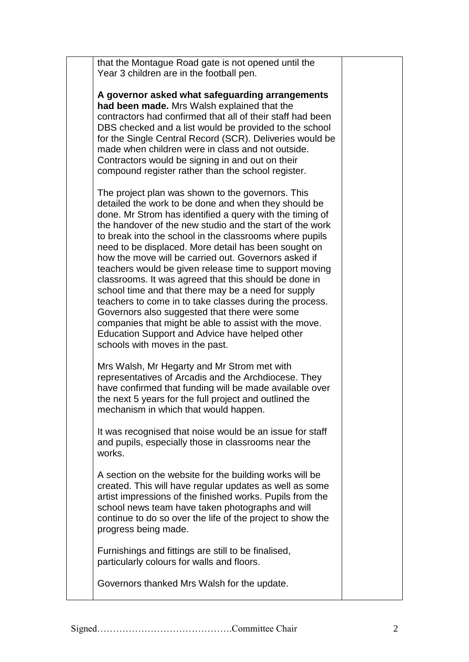that the Montague Road gate is not opened until the Year 3 children are in the football pen.

**A governor asked what safeguarding arrangements had been made.** Mrs Walsh explained that the contractors had confirmed that all of their staff had been DBS checked and a list would be provided to the school for the Single Central Record (SCR). Deliveries would be made when children were in class and not outside. Contractors would be signing in and out on their compound register rather than the school register.

The project plan was shown to the governors. This detailed the work to be done and when they should be done. Mr Strom has identified a query with the timing of the handover of the new studio and the start of the work to break into the school in the classrooms where pupils need to be displaced. More detail has been sought on how the move will be carried out. Governors asked if teachers would be given release time to support moving classrooms. It was agreed that this should be done in school time and that there may be a need for supply teachers to come in to take classes during the process. Governors also suggested that there were some companies that might be able to assist with the move. Education Support and Advice have helped other schools with moves in the past.

Mrs Walsh, Mr Hegarty and Mr Strom met with representatives of Arcadis and the Archdiocese. They have confirmed that funding will be made available over the next 5 years for the full project and outlined the mechanism in which that would happen.

It was recognised that noise would be an issue for staff and pupils, especially those in classrooms near the works.

A section on the website for the building works will be created. This will have regular updates as well as some artist impressions of the finished works. Pupils from the school news team have taken photographs and will continue to do so over the life of the project to show the progress being made.

Furnishings and fittings are still to be finalised, particularly colours for walls and floors.

Governors thanked Mrs Walsh for the update.